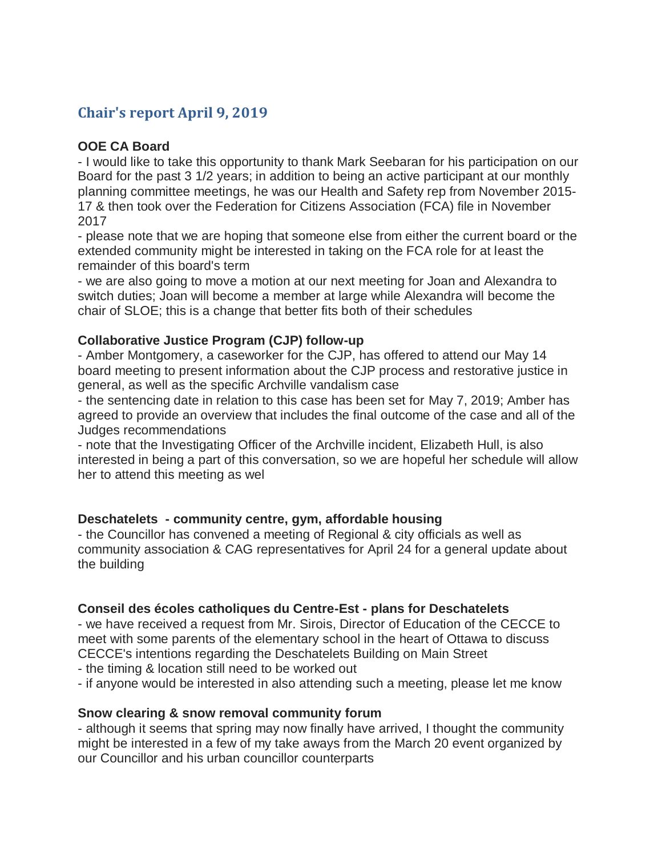# **Chair's report April 9, 2019**

### **OOE CA Board**

- I would like to take this opportunity to thank Mark Seebaran for his participation on our Board for the past 3 1/2 years; in addition to being an active participant at our monthly planning committee meetings, he was our Health and Safety rep from November 2015- 17 & then took over the Federation for Citizens Association (FCA) file in November 2017

- please note that we are hoping that someone else from either the current board or the extended community might be interested in taking on the FCA role for at least the remainder of this board's term

- we are also going to move a motion at our next meeting for Joan and Alexandra to switch duties; Joan will become a member at large while Alexandra will become the chair of SLOE; this is a change that better fits both of their schedules

#### **Collaborative Justice Program (CJP) follow-up**

- Amber Montgomery, a caseworker for the CJP, has offered to attend our May 14 board meeting to present information about the CJP process and restorative justice in general, as well as the specific Archville vandalism case

- the sentencing date in relation to this case has been set for May 7, 2019; Amber has agreed to provide an overview that includes the final outcome of the case and all of the Judges recommendations

- note that the Investigating Officer of the Archville incident, Elizabeth Hull, is also interested in being a part of this conversation, so we are hopeful her schedule will allow her to attend this meeting as wel

## **Deschatelets - community centre, gym, affordable housing**

- the Councillor has convened a meeting of Regional & city officials as well as community association & CAG representatives for April 24 for a general update about the building

## **Conseil des écoles catholiques du Centre-Est - plans for Deschatelets**

- we have received a request from Mr. Sirois, Director of Education of the CECCE to meet with some parents of the elementary school in the heart of Ottawa to discuss CECCE's intentions regarding the Deschatelets Building on Main Street

- the timing & location still need to be worked out

- if anyone would be interested in also attending such a meeting, please let me know

#### **Snow clearing & snow removal community forum**

- although it seems that spring may now finally have arrived, I thought the community might be interested in a few of my take aways from the March 20 event organized by our Councillor and his urban councillor counterparts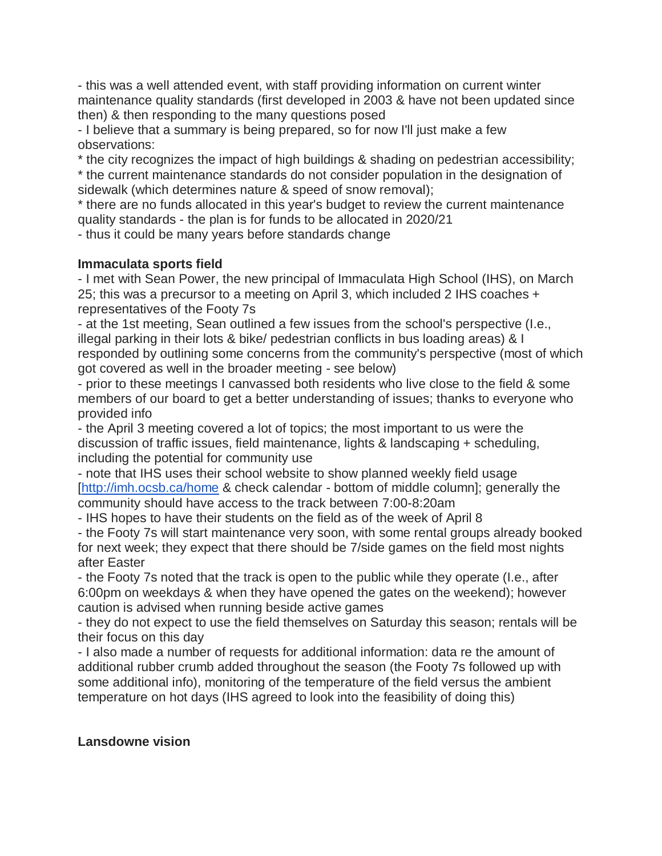- this was a well attended event, with staff providing information on current winter maintenance quality standards (first developed in 2003 & have not been updated since then) & then responding to the many questions posed

- I believe that a summary is being prepared, so for now I'll just make a few observations:

\* the city recognizes the impact of high buildings & shading on pedestrian accessibility;

\* the current maintenance standards do not consider population in the designation of sidewalk (which determines nature & speed of snow removal);

\* there are no funds allocated in this year's budget to review the current maintenance quality standards - the plan is for funds to be allocated in 2020/21

- thus it could be many years before standards change

## **Immaculata sports field**

- I met with Sean Power, the new principal of Immaculata High School (IHS), on March 25; this was a precursor to a meeting on April 3, which included 2 IHS coaches + representatives of the Footy 7s

- at the 1st meeting, Sean outlined a few issues from the school's perspective (I.e., illegal parking in their lots & bike/ pedestrian conflicts in bus loading areas) & I responded by outlining some concerns from the community's perspective (most of which got covered as well in the broader meeting - see below)

- prior to these meetings I canvassed both residents who live close to the field & some members of our board to get a better understanding of issues; thanks to everyone who provided info

- the April 3 meeting covered a lot of topics; the most important to us were the discussion of traffic issues, field maintenance, lights & landscaping + scheduling, including the potential for community use

- note that IHS uses their school website to show planned weekly field usage [\[http://imh.ocsb.ca/home](http://imh.ocsb.ca/home) & check calendar - bottom of middle column]; generally the community should have access to the track between 7:00-8:20am

- IHS hopes to have their students on the field as of the week of April 8

- the Footy 7s will start maintenance very soon, with some rental groups already booked for next week; they expect that there should be 7/side games on the field most nights after Easter

- the Footy 7s noted that the track is open to the public while they operate (I.e., after 6:00pm on weekdays & when they have opened the gates on the weekend); however caution is advised when running beside active games

- they do not expect to use the field themselves on Saturday this season; rentals will be their focus on this day

- I also made a number of requests for additional information: data re the amount of additional rubber crumb added throughout the season (the Footy 7s followed up with some additional info), monitoring of the temperature of the field versus the ambient temperature on hot days (IHS agreed to look into the feasibility of doing this)

#### **Lansdowne vision**